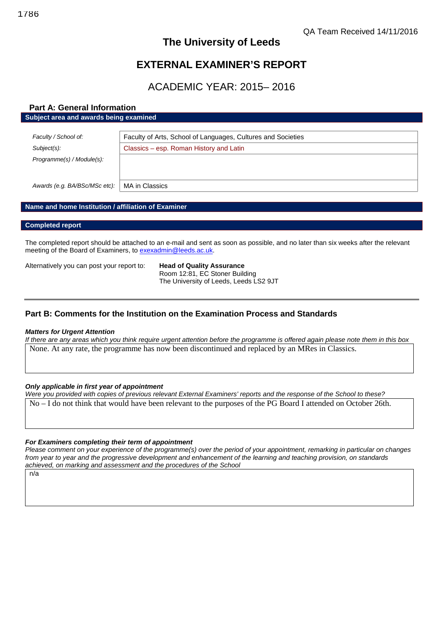# **The University of Leeds**

# **EXTERNAL EXAMINER'S REPORT**

# ACADEMIC YEAR: 2015– 2016

# **Part A: General Information**

|  | Subject area and awards being examined |  |
|--|----------------------------------------|--|
|--|----------------------------------------|--|

| Faculty / School of:          | Faculty of Arts, School of Languages, Cultures and Societies |
|-------------------------------|--------------------------------------------------------------|
| Subject(s):                   | Classics – esp. Roman History and Latin                      |
| Programme(s) / Module(s):     |                                                              |
| Awards (e.g. BA/BSc/MSc etc): | MA in Classics                                               |

### **Name and home Institution / affiliation of Examiner**

#### **Completed report**

The completed report should be attached to an e-mail and sent as soon as possible, and no later than six weeks after the relevant meeting of the Board of Examiners, to [exexadmin@leeds.ac.uk.](mailto:exexadmin@leeds.ac.uk)

Alternatively you can post your report to: **Head of Quality Assurance**

Room 12:81, EC Stoner Building The University of Leeds, Leeds LS2 9JT

## **Part B: Comments for the Institution on the Examination Process and Standards**

#### *Matters for Urgent Attention*

*If there are any areas which you think require urgent attention before the programme is offered again please note them in this box* None. At any rate, the programme has now been discontinued and replaced by an MRes in Classics.

### *Only applicable in first year of appointment*

*Were you provided with copies of previous relevant External Examiners' reports and the response of the School to these?* No – I do not think that would have been relevant to the purposes of the PG Board I attended on October 26th.

#### *For Examiners completing their term of appointment*

*Please comment on your experience of the programme(s) over the period of your appointment, remarking in particular on changes from year to year and the progressive development and enhancement of the learning and teaching provision, on standards achieved, on marking and assessment and the procedures of the School*

 $n/\overline{a}$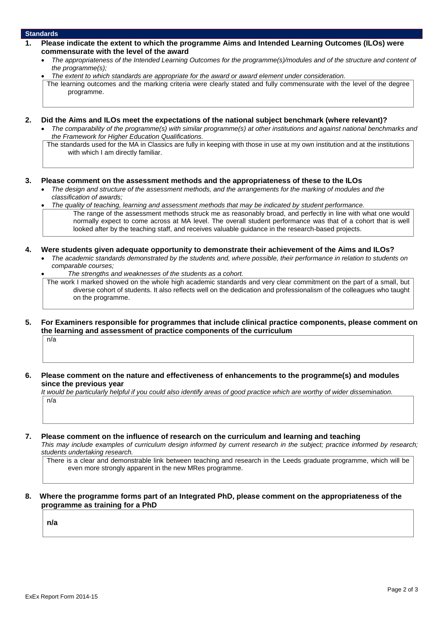#### **Standards**

- **1. Please indicate the extent to which the programme Aims and Intended Learning Outcomes (ILOs) were commensurate with the level of the award**
	- *The appropriateness of the Intended Learning Outcomes for the programme(s)/modules and of the structure and content of the programme(s);*
	- *The extent to which standards are appropriate for the award or award element under consideration.*

The learning outcomes and the marking criteria were clearly stated and fully commensurate with the level of the degree programme.

- **2. Did the Aims and ILOs meet the expectations of the national subject benchmark (where relevant)?**
	- *The comparability of the programme(s) with similar programme(s) at other institutions and against national benchmarks and the Framework for Higher Education Qualifications.*

The standards used for the MA in Classics are fully in keeping with those in use at my own institution and at the institutions with which I am directly familiar.

#### **3. Please comment on the assessment methods and the appropriateness of these to the ILOs**

 *The design and structure of the assessment methods, and the arrangements for the marking of modules and the classification of awards;*

 *The quality of teaching, learning and assessment methods that may be indicated by student performance.* The range of the assessment methods struck me as reasonably broad, and perfectly in line with what one would normally expect to come across at MA level. The overall student performance was that of a cohort that is well looked after by the teaching staff, and receives valuable guidance in the research-based projects.

#### **4. Were students given adequate opportunity to demonstrate their achievement of the Aims and ILOs?**

 *The academic standards demonstrated by the students and, where possible, their performance in relation to students on comparable courses;*

*The strengths and weaknesses of the students as a cohort.*

The work I marked showed on the whole high academic standards and very clear commitment on the part of a small, but diverse cohort of students. It also reflects well on the dedication and professionalism of the colleagues who taught on the programme.

**5. For Examiners responsible for programmes that include clinical practice components, please comment on the learning and assessment of practice components of the curriculum**

 $n/a$ 

**6. Please comment on the nature and effectiveness of enhancements to the programme(s) and modules since the previous year**

*It would be particularly helpful if you could also identify areas of good practice which are worthy of wider dissemination.* n/a

#### **7. Please comment on the influence of research on the curriculum and learning and teaching**

*This may include examples of curriculum design informed by current research in the subject; practice informed by research; students undertaking research.*

There is a clear and demonstrable link between teaching and research in the Leeds graduate programme, which will be even more strongly apparent in the new MRes programme.

#### **8. Where the programme forms part of an Integrated PhD, please comment on the appropriateness of the programme as training for a PhD**

**n/a**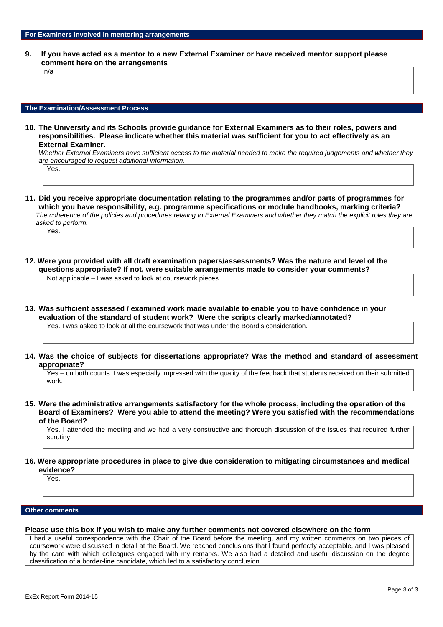**9. If you have acted as a mentor to a new External Examiner or have received mentor support please comment here on the arrangements**

n/a

#### **The Examination/Assessment Process**

**10. The University and its Schools provide guidance for External Examiners as to their roles, powers and responsibilities. Please indicate whether this material was sufficient for you to act effectively as an External Examiner.**

*Whether External Examiners have sufficient access to the material needed to make the required judgements and whether they are encouraged to request additional information.*

Yes.

**11. Did you receive appropriate documentation relating to the programmes and/or parts of programmes for which you have responsibility, e.g. programme specifications or module handbooks, marking criteria?** *The coherence of the policies and procedures relating to External Examiners and whether they match the explicit roles they are asked to perform.*

Yes<sup>.</sup>

- **12. Were you provided with all draft examination papers/assessments? Was the nature and level of the questions appropriate? If not, were suitable arrangements made to consider your comments?** Not applicable – I was asked to look at coursework pieces.
- **13. Was sufficient assessed / examined work made available to enable you to have confidence in your evaluation of the standard of student work? Were the scripts clearly marked/annotated?**

Yes. I was asked to look at all the coursework that was under the Board's consideration.

**14. Was the choice of subjects for dissertations appropriate? Was the method and standard of assessment appropriate?**

Yes – on both counts. I was especially impressed with the quality of the feedback that students received on their submitted work.

**15. Were the administrative arrangements satisfactory for the whole process, including the operation of the Board of Examiners? Were you able to attend the meeting? Were you satisfied with the recommendations of the Board?**

Yes. I attended the meeting and we had a very constructive and thorough discussion of the issues that required further scrutiny.

**16. Were appropriate procedures in place to give due consideration to mitigating circumstances and medical evidence?**

Yes.

#### **Other comments**

#### **Please use this box if you wish to make any further comments not covered elsewhere on the form**

I had a useful correspondence with the Chair of the Board before the meeting, and my written comments on two pieces of coursework were discussed in detail at the Board. We reached conclusions that I found perfectly acceptable, and I was pleased by the care with which colleagues engaged with my remarks. We also had a detailed and useful discussion on the degree classification of a border-line candidate, which led to a satisfactory conclusion.